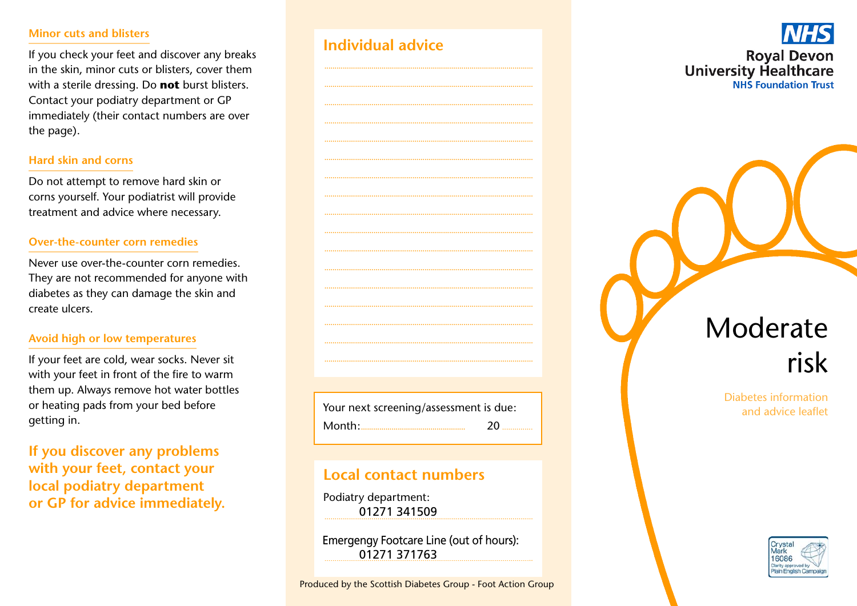#### Minor cuts and blisters

If you check your feet and discover any breaks in the skin, minor cuts or blisters, cover them with a sterile dressing. Do not burst blisters. Contact your podiatry department or GP immediately (their contact numbers are over the page).

#### **Hard skin and corns**

Do not attempt to remove hard skin or corns yourself. Your podiatrist will provide treatment and advice where necessary.

#### **Over-the-counter corn remedies**

Never use over-the-counter corn remedies. They are not recommended for anyone with diabetes as they can damage the skin and create ulcers.

#### Avoid high or low temperatures

If your feet are cold, wear socks. Never sit with your feet in front of the fire to warm them up. Always remove hot water bottles or heating pads from your bed before getting in.

If you discover any problems with your feet, contact your local podiatry department or GP for advice immediately.

|  | Individual advice |  |
|--|-------------------|--|
|  |                   |  |



# Local contact numbers

Podiatry department: 01271 341509

Emergengy Footcare Line (out of hours): 01271 371763

**Royal Devon University Healthcare NHS Foundation Trust** 

# Moderate risk

Diabetes information and advice leaflet